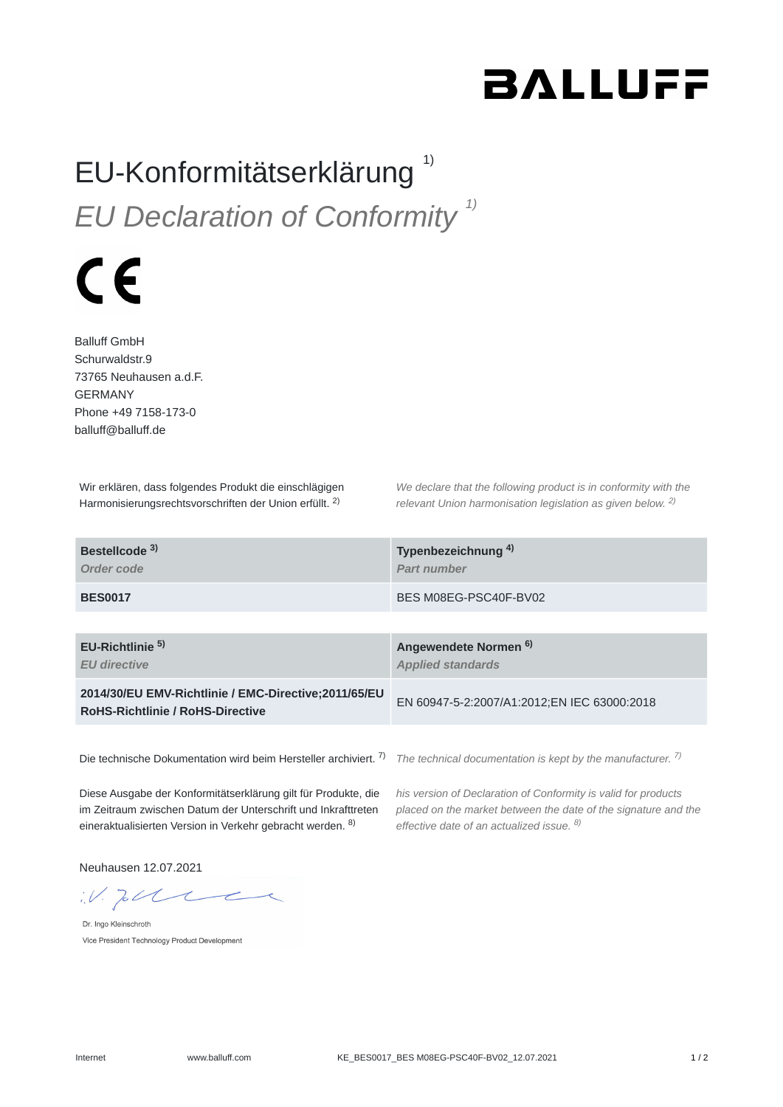## **BALLUFF**

## EU-Konformitätserklärung<sup>1)</sup> *EU Declaration of Conformity 1)*

## $\epsilon$

Balluff GmbH Schurwaldstr.9 73765 Neuhausen a.d.F. GERMANY Phone +49 7158-173-0 balluff@balluff.de

Wir erklären, dass folgendes Produkt die einschlägigen Harmonisierungsrechtsvorschriften der Union erfüllt. <sup>2)</sup>

*We declare that the following product is in conformity with the relevant Union harmonisation legislation as given below.* 2) *2)*

| Bestellcode <sup>3)</sup><br>Order code                                                         | Typenbezeichnung <sup>4)</sup><br>Part number                |
|-------------------------------------------------------------------------------------------------|--------------------------------------------------------------|
| <b>BES0017</b>                                                                                  | BES M08EG-PSC40F-BV02                                        |
|                                                                                                 |                                                              |
| EU-Richtlinie <sup>5)</sup><br><b>EU directive</b>                                              | Angewendete Normen <sup>6)</sup><br><b>Applied standards</b> |
| 2014/30/EU EMV-Richtlinie / EMC-Directive;2011/65/EU<br><b>RoHS-Richtlinie / RoHS-Directive</b> | EN 60947-5-2:2007/A1:2012;EN IEC 63000:2018                  |
|                                                                                                 |                                                              |

Die technische Dokumentation wird beim Hersteller archiviert. <sup>7)</sup> The technical documentation is kept by the manufacturer. <sup>7)</sup>

Diese Ausgabe der Konformitätserklärung gilt für Produkte, die im Zeitraum zwischen Datum der Unterschrift und Inkrafttreten eineraktualisierten Version in Verkehr gebracht werden. <sup>8)</sup>

*his version of Declaration of Conformity is valid for products placed on the market between the date of the signature and the effective date of an actualized issue. 8)*

Neuhausen 12.07.2021

 $W.$  To the

Dr. Ingo Kleinschroth Vice President Technology Product Development

Internet www.balluff.com <br>
1/2 Set ES0017\_BES M08EG-PSC40F-BV02\_12.07.2021 1/2